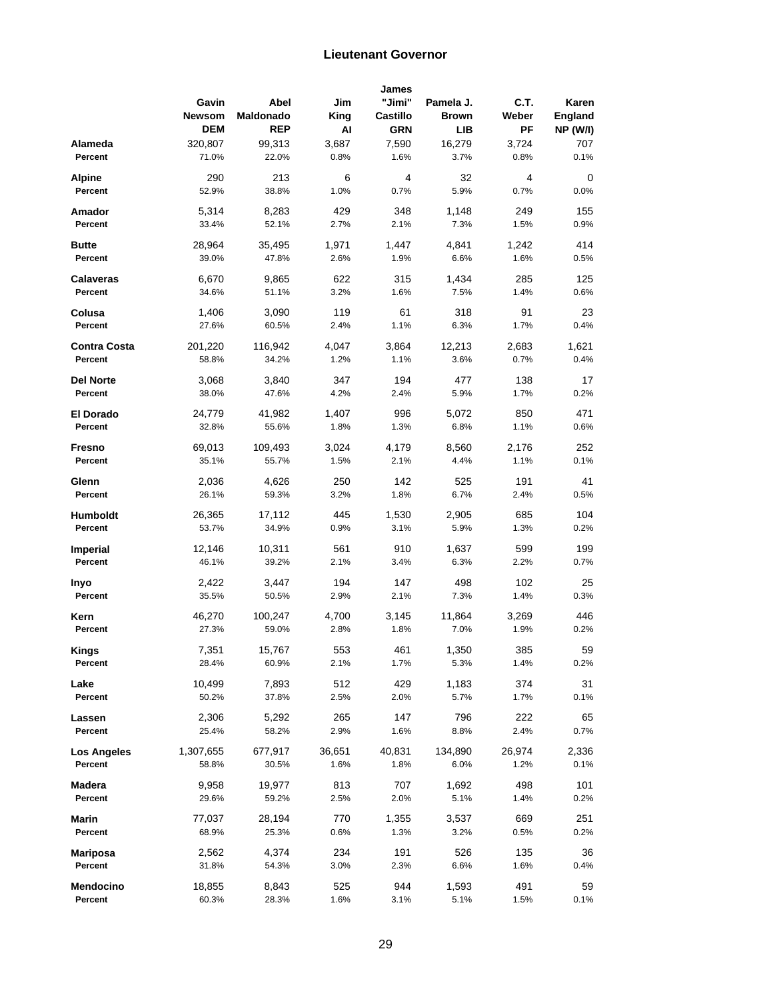## **Lieutenant Governor**

|                     |               |            |        | James      |              |        |                 |
|---------------------|---------------|------------|--------|------------|--------------|--------|-----------------|
|                     | Gavin         | Abel       | Jim    | "Jimi"     | Pamela J.    | C.T.   | Karen           |
|                     | <b>Newsom</b> | Maldonado  | King   | Castillo   | <b>Brown</b> | Weber  | <b>England</b>  |
|                     | <b>DEM</b>    | <b>REP</b> | Al     | <b>GRN</b> | LIB          | PF     | <b>NP (W/I)</b> |
|                     |               |            |        |            |              |        |                 |
| Alameda             | 320,807       | 99,313     | 3,687  | 7,590      | 16,279       | 3,724  | 707             |
| Percent             | 71.0%         | 22.0%      | 0.8%   | 1.6%       | 3.7%         | 0.8%   | 0.1%            |
| <b>Alpine</b>       | 290           | 213        | 6      | 4          | 32           | 4      | 0               |
| Percent             | 52.9%         | 38.8%      | 1.0%   | 0.7%       | 5.9%         | 0.7%   | 0.0%            |
|                     |               |            |        |            |              |        |                 |
| Amador              | 5,314         | 8,283      | 429    | 348        | 1,148        | 249    | 155             |
| Percent             | 33.4%         | 52.1%      | 2.7%   | 2.1%       | 7.3%         | 1.5%   | 0.9%            |
|                     |               |            |        |            |              |        |                 |
| <b>Butte</b>        | 28,964        | 35,495     | 1,971  | 1,447      | 4,841        | 1,242  | 414             |
| Percent             | 39.0%         | 47.8%      | 2.6%   | 1.9%       | 6.6%         | 1.6%   | 0.5%            |
|                     |               |            |        |            |              |        |                 |
| <b>Calaveras</b>    | 6,670         | 9,865      | 622    | 315        | 1,434        | 285    | 125             |
| Percent             | 34.6%         | 51.1%      | 3.2%   | 1.6%       | 7.5%         | 1.4%   | 0.6%            |
| Colusa              | 1,406         | 3,090      | 119    | 61         | 318          | 91     | 23              |
| Percent             | 27.6%         | 60.5%      | 2.4%   | 1.1%       | 6.3%         | 1.7%   | 0.4%            |
|                     |               |            |        |            |              |        |                 |
| <b>Contra Costa</b> | 201,220       | 116,942    | 4,047  | 3,864      | 12,213       | 2,683  | 1,621           |
| Percent             | 58.8%         | 34.2%      | 1.2%   | 1.1%       | 3.6%         | 0.7%   | 0.4%            |
|                     |               |            |        |            |              |        |                 |
| <b>Del Norte</b>    | 3,068         | 3,840      | 347    | 194        | 477          | 138    | 17              |
| Percent             | 38.0%         | 47.6%      | 4.2%   | 2.4%       | 5.9%         | 1.7%   | 0.2%            |
|                     |               |            |        |            |              |        |                 |
| El Dorado           | 24,779        | 41,982     | 1,407  | 996        | 5,072        | 850    | 471             |
| Percent             | 32.8%         | 55.6%      | 1.8%   | 1.3%       | 6.8%         | 1.1%   | 0.6%            |
|                     |               | 109,493    |        |            |              |        | 252             |
| Fresno              | 69,013        |            | 3,024  | 4,179      | 8,560        | 2,176  |                 |
| Percent             | 35.1%         | 55.7%      | 1.5%   | 2.1%       | 4.4%         | 1.1%   | 0.1%            |
| Glenn               | 2,036         | 4,626      | 250    | 142        | 525          | 191    | 41              |
| Percent             | 26.1%         | 59.3%      | 3.2%   | 1.8%       | 6.7%         | 2.4%   | 0.5%            |
|                     |               |            |        |            |              |        |                 |
| <b>Humboldt</b>     | 26,365        | 17,112     | 445    | 1,530      | 2,905        | 685    | 104             |
| Percent             | 53.7%         | 34.9%      | 0.9%   | 3.1%       | 5.9%         | 1.3%   | 0.2%            |
|                     |               |            |        |            |              |        |                 |
| <b>Imperial</b>     | 12,146        | 10,311     | 561    | 910        | 1,637        | 599    | 199             |
| Percent             | 46.1%         | 39.2%      | 2.1%   | 3.4%       | 6.3%         | 2.2%   | 0.7%            |
|                     |               |            |        |            |              |        |                 |
| Inyo                | 2,422         | 3,447      | 194    | 147        | 498          | 102    | 25              |
| Percent             | 35.5%         | 50.5%      | 2.9%   | 2.1%       | 7.3%         | 1.4%   | 0.3%            |
| Kern                | 46,270        | 100,247    | 4,700  | 3,145      | 11,864       | 3,269  | 446             |
| Percent             | 27.3%         |            | 2.8%   | 1.8%       | 7.0%         | 1.9%   | 0.2%            |
|                     |               | 59.0%      |        |            |              |        |                 |
| Kings               | 7,351         | 15,767     | 553    | 461        | 1,350        | 385    | 59              |
| Percent             | 28.4%         | 60.9%      | 2.1%   | 1.7%       | 5.3%         | 1.4%   | 0.2%            |
|                     |               |            |        |            |              |        |                 |
| Lake                | 10,499        | 7,893      | 512    | 429        | 1,183        | 374    | 31              |
| Percent             | 50.2%         | 37.8%      | 2.5%   | 2.0%       | 5.7%         | 1.7%   | 0.1%            |
|                     |               |            |        |            |              |        |                 |
| Lassen              | 2,306         | 5,292      | 265    | 147        | 796          | 222    | 65              |
| Percent             | 25.4%         | 58.2%      | 2.9%   | 1.6%       | 8.8%         | 2.4%   | 0.7%            |
|                     | 1,307,655     | 677,917    | 36,651 | 40,831     | 134,890      | 26,974 | 2,336           |
| <b>Los Angeles</b>  |               |            |        |            |              |        |                 |
| Percent             | 58.8%         | 30.5%      | 1.6%   | 1.8%       | 6.0%         | 1.2%   | 0.1%            |
| Madera              | 9,958         | 19,977     | 813    | 707        | 1,692        | 498    | 101             |
| Percent             | 29.6%         | 59.2%      | 2.5%   | 2.0%       | 5.1%         | 1.4%   | 0.2%            |
|                     |               |            |        |            |              |        |                 |
| Marin               | 77,037        | 28,194     | 770    | 1,355      | 3,537        | 669    | 251             |
| Percent             | 68.9%         | 25.3%      | 0.6%   | 1.3%       | 3.2%         | 0.5%   | 0.2%            |
|                     |               |            |        |            |              |        |                 |
| <b>Mariposa</b>     | 2,562         | 4,374      | 234    | 191        | 526          | 135    | 36              |
| Percent             | 31.8%         | 54.3%      | 3.0%   | 2.3%       | 6.6%         | 1.6%   | 0.4%            |
|                     |               |            |        |            |              |        |                 |
| Mendocino           | 18,855        | 8,843      | 525    | 944        | 1,593        | 491    | 59              |
| Percent             | 60.3%         | 28.3%      | 1.6%   | 3.1%       | 5.1%         | 1.5%   | 0.1%            |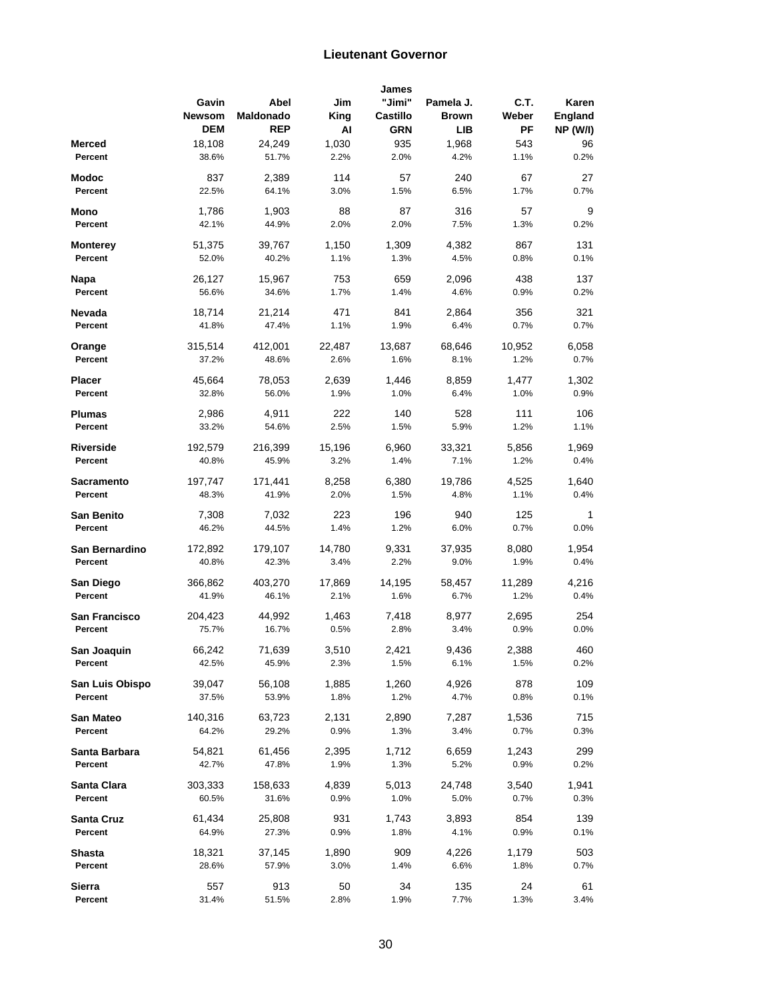## **Lieutenant Governor**

|                      |               |            |        | James      |              |        |                 |
|----------------------|---------------|------------|--------|------------|--------------|--------|-----------------|
|                      | Gavin         | Abel       | Jim    | "Jimi"     | Pamela J.    | C.T.   | Karen           |
|                      | <b>Newsom</b> | Maldonado  | King   | Castillo   | <b>Brown</b> | Weber  | <b>England</b>  |
|                      | <b>DEM</b>    | <b>REP</b> | Al     | <b>GRN</b> | LIB          | PF     | <b>NP (W/I)</b> |
|                      |               |            | 1,030  |            |              |        |                 |
| Merced               | 18,108        | 24,249     |        | 935        | 1,968        | 543    | 96              |
| Percent              | 38.6%         | 51.7%      | 2.2%   | 2.0%       | 4.2%         | 1.1%   | 0.2%            |
| Modoc                | 837           | 2,389      | 114    | 57         | 240          | 67     | 27              |
| Percent              | 22.5%         | 64.1%      | 3.0%   | 1.5%       | 6.5%         | 1.7%   | 0.7%            |
|                      |               |            |        |            |              |        |                 |
| Mono                 | 1,786         | 1,903      | 88     | 87         | 316          | 57     | 9               |
| Percent              | 42.1%         | 44.9%      | 2.0%   | 2.0%       | 7.5%         | 1.3%   | 0.2%            |
|                      |               |            |        |            |              |        |                 |
| Monterey             | 51,375        | 39,767     | 1,150  | 1,309      | 4,382        | 867    | 131             |
| Percent              | 52.0%         | 40.2%      | 1.1%   | 1.3%       | 4.5%         | 0.8%   | 0.1%            |
| Napa                 | 26,127        | 15,967     | 753    | 659        | 2,096        | 438    | 137             |
| Percent              | 56.6%         | 34.6%      | 1.7%   | 1.4%       | 4.6%         | 0.9%   | 0.2%            |
|                      |               |            |        |            |              |        |                 |
| Nevada               | 18,714        | 21,214     | 471    | 841        | 2,864        | 356    | 321             |
| Percent              | 41.8%         | 47.4%      | 1.1%   | 1.9%       | 6.4%         | 0.7%   | 0.7%            |
|                      |               |            |        |            |              |        |                 |
| Orange               | 315,514       | 412,001    | 22,487 | 13,687     | 68,646       | 10,952 | 6,058           |
| Percent              | 37.2%         | 48.6%      | 2.6%   | 1.6%       | 8.1%         | 1.2%   | 0.7%            |
| <b>Placer</b>        | 45,664        | 78,053     | 2,639  | 1,446      | 8,859        | 1,477  | 1,302           |
| Percent              |               |            |        |            |              |        |                 |
|                      | 32.8%         | 56.0%      | 1.9%   | 1.0%       | 6.4%         | 1.0%   | 0.9%            |
| Plumas               | 2,986         | 4,911      | 222    | 140        | 528          | 111    | 106             |
| Percent              | 33.2%         | 54.6%      | 2.5%   | 1.5%       | 5.9%         | 1.2%   | 1.1%            |
|                      |               |            |        |            |              |        |                 |
| <b>Riverside</b>     | 192,579       | 216,399    | 15,196 | 6,960      | 33,321       | 5,856  | 1,969           |
| Percent              | 40.8%         | 45.9%      | 3.2%   | 1.4%       | 7.1%         | 1.2%   | 0.4%            |
|                      |               |            |        |            |              |        |                 |
| Sacramento           | 197,747       | 171,441    | 8,258  | 6,380      | 19,786       | 4,525  | 1,640           |
| Percent              | 48.3%         | 41.9%      | 2.0%   | 1.5%       | 4.8%         | 1.1%   | 0.4%            |
| <b>San Benito</b>    | 7,308         | 7,032      | 223    | 196        | 940          | 125    | 1               |
| Percent              | 46.2%         | 44.5%      | 1.4%   | 1.2%       | 6.0%         | 0.7%   | 0.0%            |
|                      |               |            |        |            |              |        |                 |
| San Bernardino       | 172,892       | 179,107    | 14,780 | 9,331      | 37,935       | 8,080  | 1,954           |
| Percent              | 40.8%         | 42.3%      | 3.4%   | 2.2%       | 9.0%         | 1.9%   | 0.4%            |
|                      |               |            |        |            |              |        |                 |
| San Diego            | 366,862       | 403,270    | 17,869 | 14,195     | 58,457       | 11,289 | 4,216           |
| Percent              | 41.9%         | 46.1%      | 2.1%   | 1.6%       | 6.7%         | 1.2%   | 0.4%            |
| <b>San Francisco</b> | 204,423       | 44,992     | 1,463  | 7,418      | 8,977        | 2,695  | 254             |
| Percent              | 75.7%         | 16.7%      | 0.5%   | 2.8%       | 3.4%         | 0.9%   | $0.0\%$         |
|                      |               |            |        |            |              |        |                 |
| San Joaquin          | 66,242        | 71,639     | 3,510  | 2,421      | 9,436        | 2,388  | 460             |
| Percent              | 42.5%         | 45.9%      | 2.3%   | 1.5%       | 6.1%         | 1.5%   | 0.2%            |
|                      |               |            |        |            |              |        |                 |
| San Luis Obispo      | 39,047        | 56,108     | 1,885  | 1,260      | 4,926        | 878    | 109             |
| Percent              | 37.5%         | 53.9%      | 1.8%   | 1.2%       | 4.7%         | 0.8%   | 0.1%            |
|                      |               |            |        |            |              |        |                 |
| San Mateo            | 140,316       | 63,723     | 2,131  | 2,890      | 7,287        | 1,536  | 715             |
| Percent              | 64.2%         | 29.2%      | 0.9%   | 1.3%       | 3.4%         | 0.7%   | 0.3%            |
| Santa Barbara        | 54,821        | 61,456     | 2,395  | 1,712      | 6,659        | 1,243  | 299             |
| Percent              | 42.7%         | 47.8%      | 1.9%   | 1.3%       | 5.2%         | 0.9%   | 0.2%            |
|                      |               |            |        |            |              |        |                 |
| Santa Clara          | 303,333       | 158,633    | 4,839  | 5,013      | 24,748       | 3,540  | 1,941           |
| Percent              | 60.5%         | 31.6%      | 0.9%   | 1.0%       | 5.0%         | 0.7%   | 0.3%            |
|                      |               |            |        |            |              |        |                 |
| Santa Cruz           | 61,434        | 25,808     | 931    | 1,743      | 3,893        | 854    | 139             |
| Percent              | 64.9%         | 27.3%      | 0.9%   | 1.8%       | 4.1%         | 0.9%   | 0.1%            |
| Shasta               | 18,321        | 37,145     | 1,890  | 909        | 4,226        | 1,179  | 503             |
| Percent              | 28.6%         | 57.9%      | 3.0%   | 1.4%       | 6.6%         | 1.8%   | 0.7%            |
|                      |               |            |        |            |              |        |                 |
| <b>Sierra</b>        | 557           | 913        | 50     | 34         | 135          | 24     | 61              |
| Percent              | 31.4%         | 51.5%      | 2.8%   | 1.9%       | 7.7%         | 1.3%   | 3.4%            |
|                      |               |            |        |            |              |        |                 |